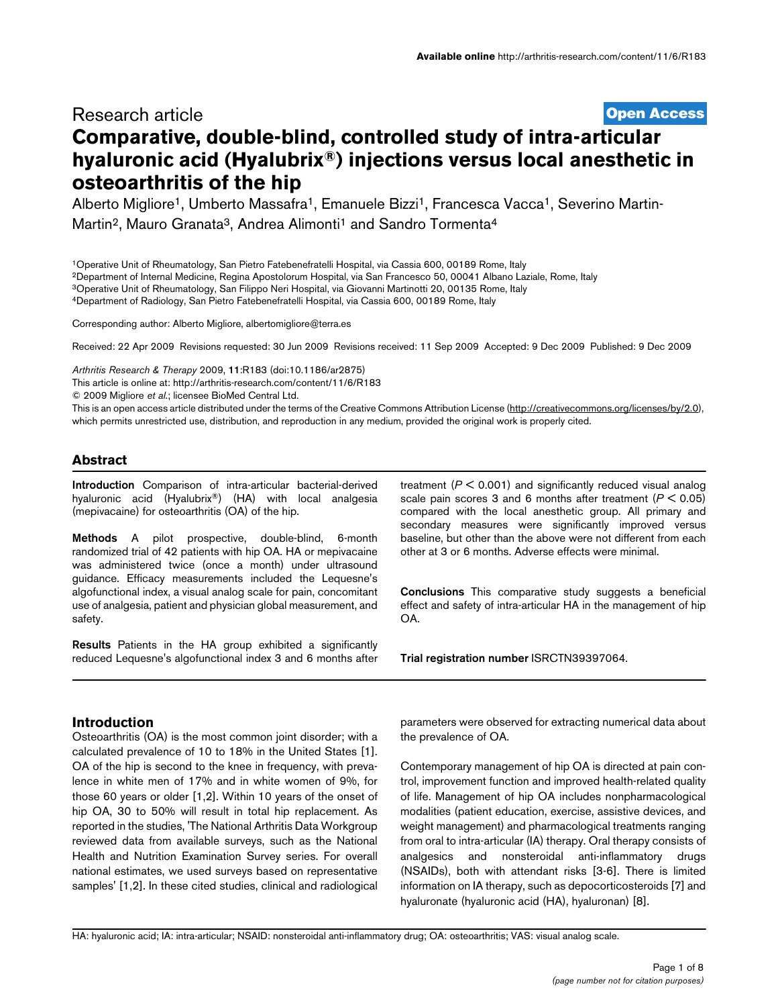# **[Open Access](http://www.biomedcentral.com/info/about/charter/)** Research article **Comparative, double-blind, controlled study of intra-articular hyaluronic acid (Hyalubrix®) injections versus local anesthetic in osteoarthritis of the hip**

Alberto Migliore<sup>1</sup>, Umberto Massafra<sup>1</sup>, Emanuele Bizzi<sup>1</sup>, Francesca Vacca<sup>1</sup>, Severino Martin-Martin<sup>2</sup>, Mauro Granata<sup>3</sup>, Andrea Alimonti<sup>1</sup> and Sandro Tormenta<sup>4</sup>

1Operative Unit of Rheumatology, San Pietro Fatebenefratelli Hospital, via Cassia 600, 00189 Rome, Italy

2Department of Internal Medicine, Regina Apostolorum Hospital, via San Francesco 50, 00041 Albano Laziale, Rome, Italy

3Operative Unit of Rheumatology, San Filippo Neri Hospital, via Giovanni Martinotti 20, 00135 Rome, Italy

4Department of Radiology, San Pietro Fatebenefratelli Hospital, via Cassia 600, 00189 Rome, Italy

Corresponding author: Alberto Migliore, albertomigliore@terra.e[s](http://www.ncbi.nlm.nih.gov/entrez/query.fcgi?cmd=Retrieve&db=PubMed&dopt=Abstract&list_uids=20003205)

Received: 22 Apr 2009 Revisions requested: 30 Jun 2009 Revisions received: 11 Sep 2009 Accepted: 9 Dec 2009 Published: 9 Dec 2009

*Arthritis Research & Therapy* 2009, **11**:R183 (doi:10.1186/ar2875)

[This article is online at: http://arthritis-research.com/content/11/6/R183](http://arthritis-research.com/content/11/6/R183)

© 2009 Migliore *et al*.; licensee BioMed Central Ltd.

This is an open access article distributed under the terms of the Creative Commons Attribution License [\(http://creativecommons.org/licenses/by/2.0\)](http://creativecommons.org/licenses/by/2.0), which permits unrestricted use, distribution, and reproduction in any medium, provided the original work is properly cited.

## **Abstract**

**Introduction** Comparison of intra-articular bacterial-derived hyaluronic acid (Hyalubrix®) (HA) with local analgesia (mepivacaine) for osteoarthritis (OA) of the hip.

**Methods** A pilot prospective, double-blind, 6-month randomized trial of 42 patients with hip OA. HA or mepivacaine was administered twice (once a month) under ultrasound guidance. Efficacy measurements included the Lequesne's algofunctional index, a visual analog scale for pain, concomitant use of analgesia, patient and physician global measurement, and safety.

**Results** Patients in the HA group exhibited a significantly reduced Lequesne's algofunctional index 3 and 6 months after treatment (*P* < 0.001) and significantly reduced visual analog scale pain scores 3 and 6 months after treatment (*P* < 0.05) compared with the local anesthetic group. All primary and secondary measures were significantly improved versus baseline, but other than the above were not different from each other at 3 or 6 months. Adverse effects were minimal.

**Conclusions** This comparative study suggests a beneficial effect and safety of intra-articular HA in the management of hip OA.

**Trial registration number** ISRCTN39397064.

## **Introduction**

Osteoarthritis (OA) is the most common joint disorder; with a calculated prevalence of 10 to 18% in the United States [1]. OA of the hip is second to the knee in frequency, with prevalence in white men of 17% and in white women of 9%, for those 60 years or older [1,2]. Within 10 years of the onset of hip OA, 30 to 50% will result in total hip replacement. As reported in the studies, 'The National Arthritis Data Workgroup reviewed data from available surveys, such as the National Health and Nutrition Examination Survey series. For overall national estimates, we used surveys based on representative samples' [1,2]. In these cited studies, clinical and radiological

parameters were observed for extracting numerical data about the prevalence of OA.

Contemporary management of hip OA is directed at pain control, improvement function and improved health-related quality of life. Management of hip OA includes nonpharmacological modalities (patient education, exercise, assistive devices, and weight management) and pharmacological treatments ranging from oral to intra-articular (IA) therapy. Oral therapy consists of analgesics and nonsteroidal anti-inflammatory drugs (NSAIDs), both with attendant risks [3-6]. There is limited information on IA therapy, such as depocorticosteroids [7] and hyaluronate (hyaluronic acid (HA), hyaluronan) [8].

HA: hyaluronic acid; IA: intra-articular; NSAID: nonsteroidal anti-inflammatory drug; OA: osteoarthritis; VAS: visual analog scale.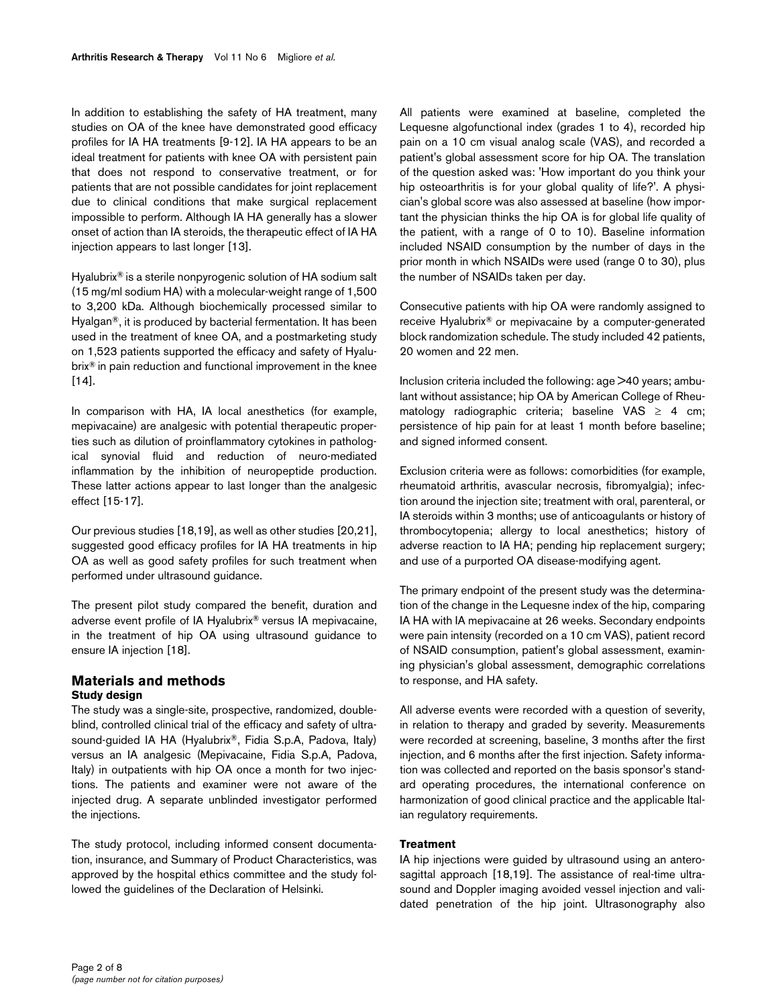In addition to establishing the safety of HA treatment, many studies on OA of the knee have demonstrated good efficacy profiles for IA HA treatments [9-12]. IA HA appears to be an ideal treatment for patients with knee OA with persistent pain that does not respond to conservative treatment, or for patients that are not possible candidates for joint replacement due to clinical conditions that make surgical replacement impossible to perform. Although IA HA generally has a slower onset of action than IA steroids, the therapeutic effect of IA HA injection appears to last longer [13].

Hyalubrix® is a sterile nonpyrogenic solution of HA sodium salt (15 mg/ml sodium HA) with a molecular-weight range of 1,500 to 3,200 kDa. Although biochemically processed similar to Hyalgan®, it is produced by bacterial fermentation. It has been used in the treatment of knee OA, and a postmarketing study on 1,523 patients supported the efficacy and safety of Hyalubrix® in pain reduction and functional improvement in the knee [14].

In comparison with HA, IA local anesthetics (for example, mepivacaine) are analgesic with potential therapeutic properties such as dilution of proinflammatory cytokines in pathological synovial fluid and reduction of neuro-mediated inflammation by the inhibition of neuropeptide production. These latter actions appear to last longer than the analgesic effect [15-17].

Our previous studies [18,19], as well as other studies [20,21], suggested good efficacy profiles for IA HA treatments in hip OA as well as good safety profiles for such treatment when performed under ultrasound guidance.

The present pilot study compared the benefit, duration and adverse event profile of IA Hyalubrix® versus IA mepivacaine, in the treatment of hip OA using ultrasound guidance to ensure IA injection [18].

## **Materials and methods Study design**

The study was a single-site, prospective, randomized, doubleblind, controlled clinical trial of the efficacy and safety of ultrasound-guided IA HA (Hyalubrix®, Fidia S.p.A, Padova, Italy) versus an IA analgesic (Mepivacaine, Fidia S.p.A, Padova, Italy) in outpatients with hip OA once a month for two injections. The patients and examiner were not aware of the injected drug. A separate unblinded investigator performed the injections.

The study protocol, including informed consent documentation, insurance, and Summary of Product Characteristics, was approved by the hospital ethics committee and the study followed the guidelines of the Declaration of Helsinki.

All patients were examined at baseline, completed the Lequesne algofunctional index (grades 1 to 4), recorded hip pain on a 10 cm visual analog scale (VAS), and recorded a patient's global assessment score for hip OA. The translation of the question asked was: 'How important do you think your hip osteoarthritis is for your global quality of life?'. A physician's global score was also assessed at baseline (how important the physician thinks the hip OA is for global life quality of the patient, with a range of 0 to 10). Baseline information included NSAID consumption by the number of days in the prior month in which NSAIDs were used (range 0 to 30), plus the number of NSAIDs taken per day.

Consecutive patients with hip OA were randomly assigned to receive Hyalubrix® or mepivacaine by a computer-generated block randomization schedule. The study included 42 patients, 20 women and 22 men.

Inclusion criteria included the following: age >40 years; ambulant without assistance; hip OA by American College of Rheumatology radiographic criteria; baseline VAS  $\geq$  4 cm; persistence of hip pain for at least 1 month before baseline; and signed informed consent.

Exclusion criteria were as follows: comorbidities (for example, rheumatoid arthritis, avascular necrosis, fibromyalgia); infection around the injection site; treatment with oral, parenteral, or IA steroids within 3 months; use of anticoagulants or history of thrombocytopenia; allergy to local anesthetics; history of adverse reaction to IA HA; pending hip replacement surgery; and use of a purported OA disease-modifying agent.

The primary endpoint of the present study was the determination of the change in the Lequesne index of the hip, comparing IA HA with IA mepivacaine at 26 weeks. Secondary endpoints were pain intensity (recorded on a 10 cm VAS), patient record of NSAID consumption, patient's global assessment, examining physician's global assessment, demographic correlations to response, and HA safety.

All adverse events were recorded with a question of severity, in relation to therapy and graded by severity. Measurements were recorded at screening, baseline, 3 months after the first injection, and 6 months after the first injection. Safety information was collected and reported on the basis sponsor's standard operating procedures, the international conference on harmonization of good clinical practice and the applicable Italian regulatory requirements.

## **Treatment**

IA hip injections were guided by ultrasound using an anterosagittal approach [18,19]. The assistance of real-time ultrasound and Doppler imaging avoided vessel injection and validated penetration of the hip joint. Ultrasonography also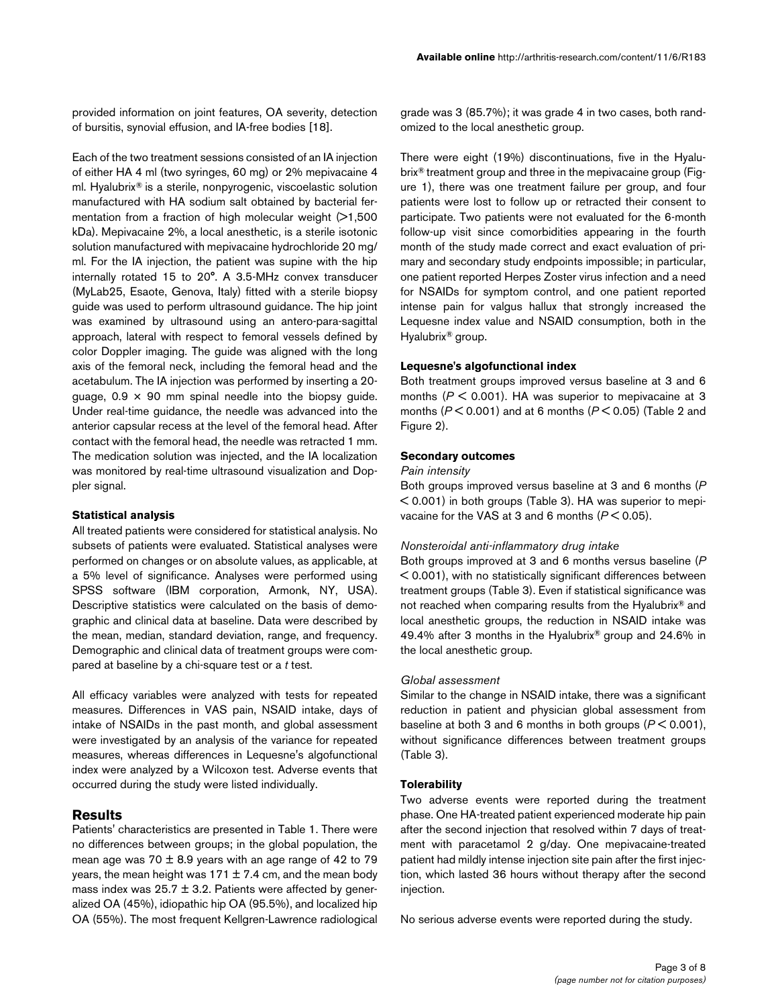provided information on joint features, OA severity, detection of bursitis, synovial effusion, and IA-free bodies [18].

Each of the two treatment sessions consisted of an IA injection of either HA 4 ml (two syringes, 60 mg) or 2% mepivacaine 4 ml. Hyalubrix® is a sterile, nonpyrogenic, viscoelastic solution manufactured with HA sodium salt obtained by bacterial fermentation from a fraction of high molecular weight (>1,500 kDa). Mepivacaine 2%, a local anesthetic, is a sterile isotonic solution manufactured with mepivacaine hydrochloride 20 mg/ ml. For the IA injection, the patient was supine with the hip internally rotated 15 to 20°. A 3.5-MHz convex transducer (MyLab25, Esaote, Genova, Italy) fitted with a sterile biopsy guide was used to perform ultrasound guidance. The hip joint was examined by ultrasound using an antero-para-sagittal approach, lateral with respect to femoral vessels defined by color Doppler imaging. The guide was aligned with the long axis of the femoral neck, including the femoral head and the acetabulum. The IA injection was performed by inserting a 20 guage,  $0.9 \times 90$  mm spinal needle into the biopsy guide. Under real-time guidance, the needle was advanced into the anterior capsular recess at the level of the femoral head. After contact with the femoral head, the needle was retracted 1 mm. The medication solution was injected, and the IA localization was monitored by real-time ultrasound visualization and Doppler signal.

#### **Statistical analysis**

All treated patients were considered for statistical analysis. No subsets of patients were evaluated. Statistical analyses were performed on changes or on absolute values, as applicable, at a 5% level of significance. Analyses were performed using SPSS software (IBM corporation, Armonk, NY, USA). Descriptive statistics were calculated on the basis of demographic and clinical data at baseline. Data were described by the mean, median, standard deviation, range, and frequency. Demographic and clinical data of treatment groups were compared at baseline by a chi-square test or a *t* test.

All efficacy variables were analyzed with tests for repeated measures. Differences in VAS pain, NSAID intake, days of intake of NSAIDs in the past month, and global assessment were investigated by an analysis of the variance for repeated measures, whereas differences in Lequesne's algofunctional index were analyzed by a Wilcoxon test. Adverse events that occurred during the study were listed individually.

## **Results**

Patients' characteristics are presented in Table 1. There were no differences between groups; in the global population, the mean age was 70  $\pm$  8.9 years with an age range of 42 to 79 years, the mean height was  $171 \pm 7.4$  cm, and the mean body mass index was  $25.7 \pm 3.2$ . Patients were affected by generalized OA (45%), idiopathic hip OA (95.5%), and localized hip OA (55%). The most frequent Kellgren-Lawrence radiological grade was 3 (85.7%); it was grade 4 in two cases, both randomized to the local anesthetic group.

There were eight (19%) discontinuations, five in the Hyalubrix® treatment group and three in the mepivacaine group (Figure 1), there was one treatment failure per group, and four patients were lost to follow up or retracted their consent to participate. Two patients were not evaluated for the 6-month follow-up visit since comorbidities appearing in the fourth month of the study made correct and exact evaluation of primary and secondary study endpoints impossible; in particular, one patient reported Herpes Zoster virus infection and a need for NSAIDs for symptom control, and one patient reported intense pain for valgus hallux that strongly increased the Lequesne index value and NSAID consumption, both in the Hyalubrix® group.

#### **Lequesne's algofunctional index**

Both treatment groups improved versus baseline at 3 and 6 months (*P* < 0.001). HA was superior to mepivacaine at 3 months (*P* < 0.001) and at 6 months (*P* < 0.05) (Table 2 and Figure 2).

### **Secondary outcomes**

#### *Pain intensity*

Both groups improved versus baseline at 3 and 6 months (*P* < 0.001) in both groups (Table 3). HA was superior to mepivacaine for the VAS at 3 and 6 months (*P* < 0.05).

#### *Nonsteroidal anti-inflammatory drug intake*

Both groups improved at 3 and 6 months versus baseline (*P* < 0.001), with no statistically significant differences between treatment groups (Table 3). Even if statistical significance was not reached when comparing results from the Hyalubrix® and local anesthetic groups, the reduction in NSAID intake was 49.4% after 3 months in the Hyalubrix® group and 24.6% in the local anesthetic group.

#### *Global assessment*

Similar to the change in NSAID intake, there was a significant reduction in patient and physician global assessment from baseline at both 3 and 6 months in both groups (*P* < 0.001), without significance differences between treatment groups (Table 3).

### **Tolerability**

Two adverse events were reported during the treatment phase. One HA-treated patient experienced moderate hip pain after the second injection that resolved within 7 days of treatment with paracetamol 2 g/day. One mepivacaine-treated patient had mildly intense injection site pain after the first injection, which lasted 36 hours without therapy after the second injection.

No serious adverse events were reported during the study.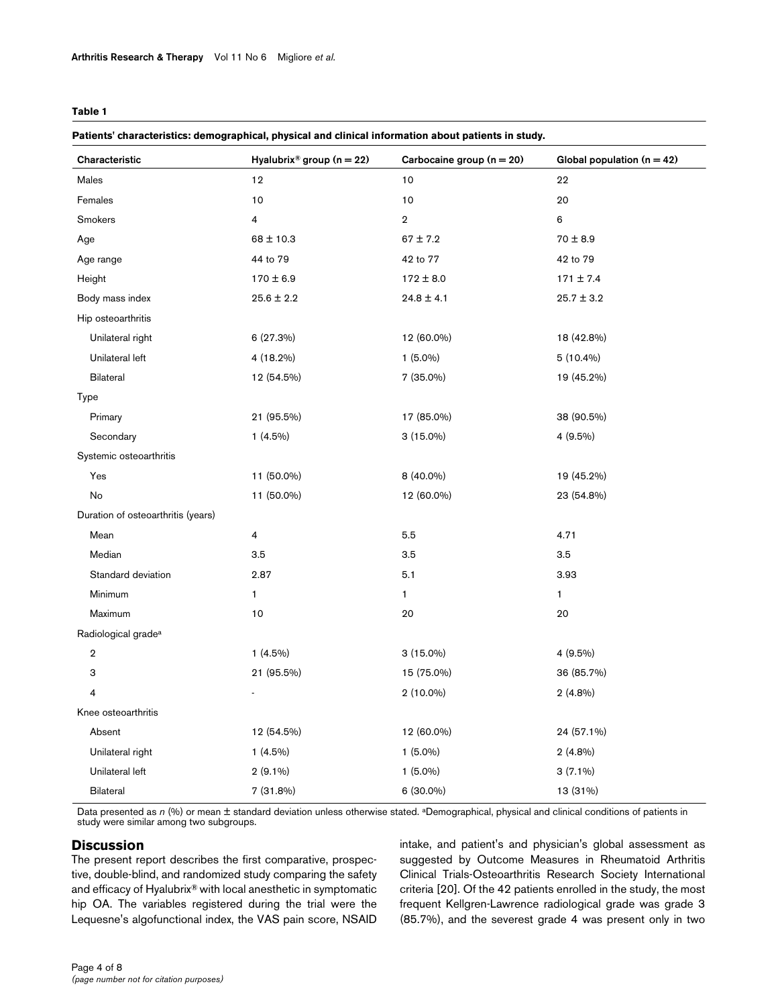### **Table 1**

#### **Patients' characteristics: demographical, physical and clinical information about patients in study.**

| Characteristic                     | Hyalubrix <sup>®</sup> group ( $n = 22$ ) | Carbocaine group $(n = 20)$ | Global population $(n = 42)$ |
|------------------------------------|-------------------------------------------|-----------------------------|------------------------------|
| Males                              | 12                                        | 10                          | 22                           |
| Females                            | 10                                        | 10                          | 20                           |
| Smokers                            | 4                                         | $\overline{2}$              | 6                            |
| Age                                | $68 \pm 10.3$                             | $67 \pm 7.2$                | $70 \pm 8.9$                 |
| Age range                          | 44 to 79                                  | 42 to 77                    | 42 to 79                     |
| Height                             | $170 \pm 6.9$                             | $172 \pm 8.0$               | $171 \pm 7.4$                |
| Body mass index                    | $25.6 \pm 2.2$                            | $24.8 \pm 4.1$              | $25.7 \pm 3.2$               |
| Hip osteoarthritis                 |                                           |                             |                              |
| Unilateral right                   | 6 (27.3%)                                 | 12 (60.0%)                  | 18 (42.8%)                   |
| Unilateral left                    | 4 (18.2%)                                 | $1(5.0\%)$                  | $5(10.4\%)$                  |
| <b>Bilateral</b>                   | 12 (54.5%)                                | 7 (35.0%)                   | 19 (45.2%)                   |
| <b>Type</b>                        |                                           |                             |                              |
| Primary                            | 21 (95.5%)                                | 17 (85.0%)                  | 38 (90.5%)                   |
| Secondary                          | $1(4.5\%)$                                | $3(15.0\%)$                 | 4 (9.5%)                     |
| Systemic osteoarthritis            |                                           |                             |                              |
| Yes                                | 11 (50.0%)                                | 8 (40.0%)                   | 19 (45.2%)                   |
| No                                 | 11 (50.0%)                                | 12 (60.0%)                  | 23 (54.8%)                   |
| Duration of osteoarthritis (years) |                                           |                             |                              |
| Mean                               | 4                                         | 5.5                         | 4.71                         |
| Median                             | 3.5                                       | 3.5                         | 3.5                          |
| Standard deviation                 | 2.87                                      | 5.1                         | 3.93                         |
| Minimum                            | $\mathbf{1}$                              | $\mathbf{1}$                | $\mathbf{1}$                 |
| Maximum                            | 10                                        | 20                          | 20                           |
| Radiological grade <sup>a</sup>    |                                           |                             |                              |
| $\overline{\mathbf{2}}$            | $1(4.5\%)$                                | $3(15.0\%)$                 | 4 (9.5%)                     |
| 3                                  | 21 (95.5%)                                | 15 (75.0%)                  | 36 (85.7%)                   |
| $\overline{\mathbf{4}}$            |                                           | $2(10.0\%)$                 | $2(4.8\%)$                   |
| Knee osteoarthritis                |                                           |                             |                              |
| Absent                             | 12 (54.5%)                                | 12 (60.0%)                  | 24 (57.1%)                   |
| Unilateral right                   | $1(4.5\%)$                                | $1(5.0\%)$                  | $2(4.8\%)$                   |
| Unilateral left                    | $2(9.1\%)$                                | $1(5.0\%)$                  | $3(7.1\%)$                   |
| <b>Bilateral</b>                   | 7 (31.8%)                                 | 6 (30.0%)                   | 13 (31%)                     |

Data presented as *n* (%) or mean ± standard deviation unless otherwise stated. <sup>a</sup>Demographical, physical and clinical conditions of patients in study were similar among two subgroups.

## **Discussion**

The present report describes the first comparative, prospective, double-blind, and randomized study comparing the safety and efficacy of Hyalubrix® with local anesthetic in symptomatic hip OA. The variables registered during the trial were the Lequesne's algofunctional index, the VAS pain score, NSAID intake, and patient's and physician's global assessment as suggested by Outcome Measures in Rheumatoid Arthritis Clinical Trials-Osteoarthritis Research Society International criteria [20]. Of the 42 patients enrolled in the study, the most frequent Kellgren-Lawrence radiological grade was grade 3 (85.7%), and the severest grade 4 was present only in two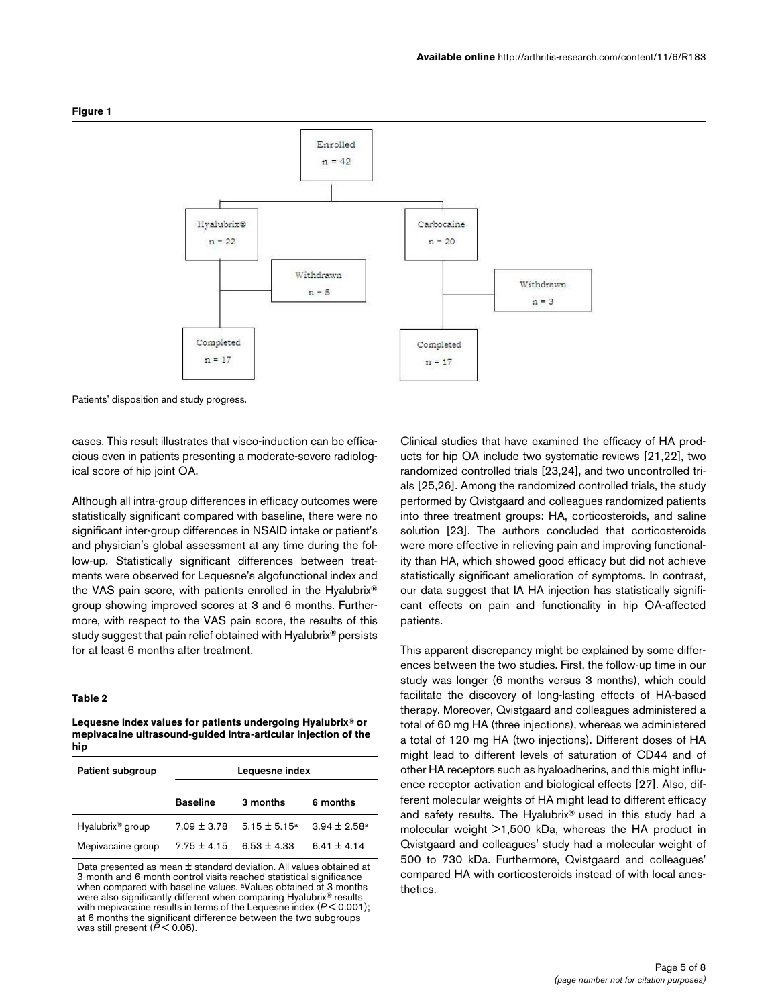

#### **Figure 1**

Patients' disposition and study progress.

cases. This result illustrates that visco-induction can be efficacious even in patients presenting a moderate-severe radiological score of hip joint OA.

Although all intra-group differences in efficacy outcomes were statistically significant compared with baseline, there were no significant inter-group differences in NSAID intake or patient's and physician's global assessment at any time during the follow-up. Statistically significant differences between treatments were observed for Lequesne's algofunctional index and the VAS pain score, with patients enrolled in the Hyalubrix® group showing improved scores at 3 and 6 months. Furthermore, with respect to the VAS pain score, the results of this study suggest that pain relief obtained with Hyalubrix® persists for at least 6 months after treatment.

#### **Table 2**

**Lequesne index values for patients undergoing Hyalubrix® or mepivacaine ultrasound-guided intra-articular injection of the hip**

| Patient subgroup             | Lequesne index  |                 |                         |  |  |
|------------------------------|-----------------|-----------------|-------------------------|--|--|
|                              | <b>Baseline</b> | 3 months        | 6 months                |  |  |
| Hyalubrix <sup>®</sup> group | $7.09 + 3.78$   | $5.15 + 5.15^a$ | $3.94 \pm 2.58^{\circ}$ |  |  |
| Mepivacaine group            | $7.75 \pm 4.15$ | $6.53 \pm 4.33$ | $6.41 \pm 4.14$         |  |  |

Data presented as mean ± standard deviation. All values obtained at 3-month and 6-month control visits reached statistical significance when compared with baseline values. aValues obtained at 3 months were also significantly different when comparing Hyalubrix® results with mepivacaine results in terms of the Lequesne index (*P* < 0.001); at 6 months the significant difference between the two subgroups was still present ( $\check{P}$  < 0.05).

Clinical studies that have examined the efficacy of HA products for hip OA include two systematic reviews [21,22], two randomized controlled trials [23,24], and two uncontrolled trials [25,26]. Among the randomized controlled trials, the study performed by Qvistgaard and colleagues randomized patients into three treatment groups: HA, corticosteroids, and saline solution [23]. The authors concluded that corticosteroids were more effective in relieving pain and improving functionality than HA, which showed good efficacy but did not achieve statistically significant amelioration of symptoms. In contrast, our data suggest that IA HA injection has statistically significant effects on pain and functionality in hip OA-affected patients.

This apparent discrepancy might be explained by some differences between the two studies. First, the follow-up time in our study was longer (6 months versus 3 months), which could facilitate the discovery of long-lasting effects of HA-based therapy. Moreover, Qvistgaard and colleagues administered a total of 60 mg HA (three injections), whereas we administered a total of 120 mg HA (two injections). Different doses of HA might lead to different levels of saturation of CD44 and of other HA receptors such as hyaloadherins, and this might influence receptor activation and biological effects [27]. Also, different molecular weights of HA might lead to different efficacy and safety results. The Hyalubrix® used in this study had a molecular weight >1,500 kDa, whereas the HA product in Qvistgaard and colleagues' study had a molecular weight of 500 to 730 kDa. Furthermore, Qvistgaard and colleagues' compared HA with corticosteroids instead of with local anesthetics.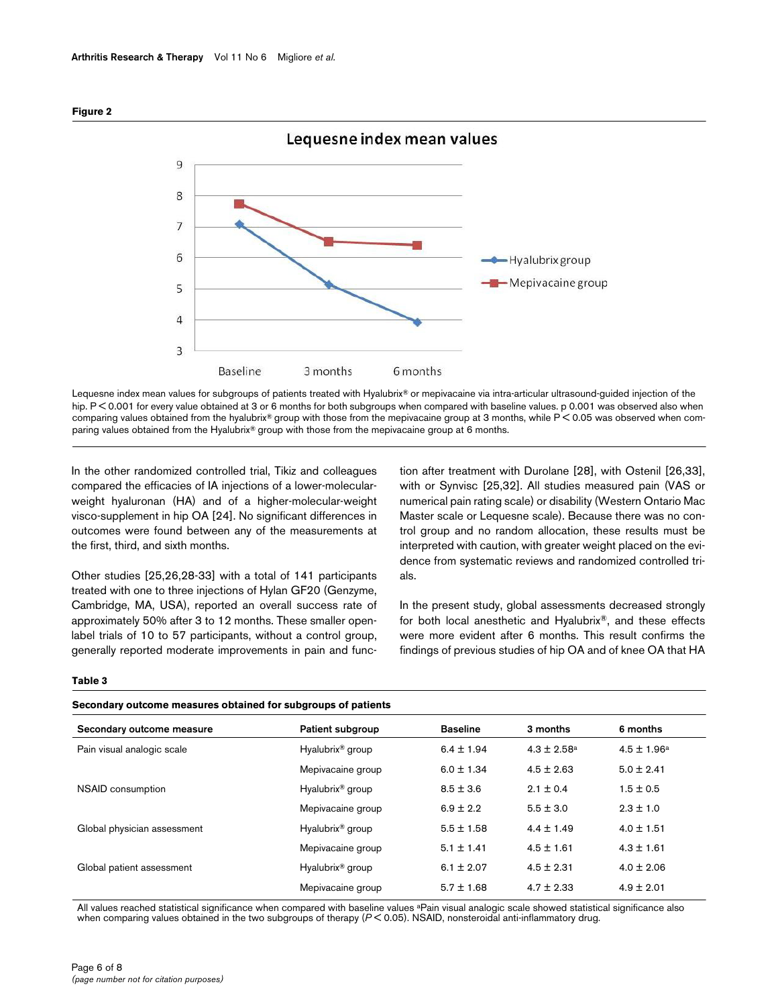

**Figure 2**

Lequesne index mean values for subgroups of patients treated with Hyalubrix® or mepivacaine via intra-articular ultrasound-guided injection of the hip. P < 0.001 for every value obtained at 3 or 6 months for both subgroups when compared with baseline values. p 0.001 was observed also when comparing values obtained from the hyalubrix® group with those from the mepivacaine group at 3 months, while P < 0.05 was observed when comparing values obtained from the Hyalubrix® group with those from the mepivacaine group at 6 months.

In the other randomized controlled trial, Tikiz and colleagues compared the efficacies of IA injections of a lower-molecularweight hyaluronan (HA) and of a higher-molecular-weight visco-supplement in hip OA [24]. No significant differences in outcomes were found between any of the measurements at the first, third, and sixth months.

Other studies [25,26,28-33] with a total of 141 participants treated with one to three injections of Hylan GF20 (Genzyme, Cambridge, MA, USA), reported an overall success rate of approximately 50% after 3 to 12 months. These smaller openlabel trials of 10 to 57 participants, without a control group, generally reported moderate improvements in pain and function after treatment with Durolane [28], with Ostenil [26,33], with or Synvisc [25,32]. All studies measured pain (VAS or numerical pain rating scale) or disability (Western Ontario Mac Master scale or Lequesne scale). Because there was no control group and no random allocation, these results must be interpreted with caution, with greater weight placed on the evidence from systematic reviews and randomized controlled trials.

In the present study, global assessments decreased strongly for both local anesthetic and Hyalubrix®, and these effects were more evident after 6 months. This result confirms the findings of previous studies of hip OA and of knee OA that HA

#### **Table 3**

| Secondary outcome measures obtained for subgroups of patients |  |  |  |  |
|---------------------------------------------------------------|--|--|--|--|
|---------------------------------------------------------------|--|--|--|--|

| Secondary outcome measure   | Patient subgroup             | <b>Baseline</b> | 3 months               | 6 months               |  |
|-----------------------------|------------------------------|-----------------|------------------------|------------------------|--|
| Pain visual analogic scale  | Hyalubrix <sup>®</sup> group | $6.4 \pm 1.94$  | $4.3 \pm 2.58^{\circ}$ | $4.5 \pm 1.96^{\rm a}$ |  |
|                             | Mepivacaine group            | $6.0 \pm 1.34$  | $4.5 \pm 2.63$         | $5.0 \pm 2.41$         |  |
| NSAID consumption           | Hyalubrix <sup>®</sup> group | $8.5 \pm 3.6$   | $2.1 \pm 0.4$          | $1.5 \pm 0.5$          |  |
|                             | Mepivacaine group            | $6.9 \pm 2.2$   | $5.5 \pm 3.0$          | $2.3 \pm 1.0$          |  |
| Global physician assessment | Hyalubrix <sup>®</sup> group | $5.5 \pm 1.58$  | $4.4 \pm 1.49$         | $4.0 \pm 1.51$         |  |
|                             | Mepivacaine group            | $5.1 \pm 1.41$  | $4.5 \pm 1.61$         | $4.3 \pm 1.61$         |  |
| Global patient assessment   | Hyalubrix <sup>®</sup> group | $6.1 \pm 2.07$  | $4.5 \pm 2.31$         | $4.0 \pm 2.06$         |  |
|                             | Mepivacaine group            | $5.7 \pm 1.68$  | $4.7 \pm 2.33$         | $4.9 \pm 2.01$         |  |
|                             |                              |                 |                        |                        |  |

All values reached statistical significance when compared with baseline values <sup>ap</sup>ain visual analogic scale showed statistical significance also when comparing values obtained in the two subgroups of therapy (*P* < 0.05). NSAID, nonsteroidal anti-inflammatory drug.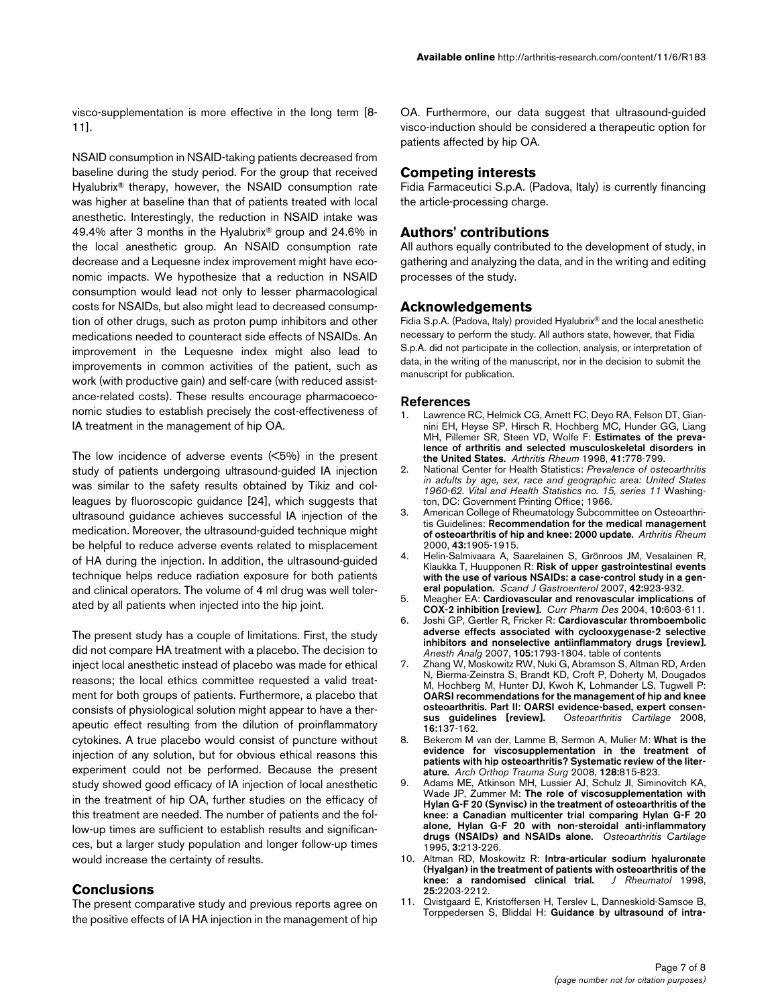visco-supplementation is more effective in the long term [8- 11].

NSAID consumption in NSAID-taking patients decreased from baseline during the study period. For the group that received Hyalubrix® therapy, however, the NSAID consumption rate was higher at baseline than that of patients treated with local anesthetic. Interestingly, the reduction in NSAID intake was 49.4% after 3 months in the Hyalubrix® group and 24.6% in the local anesthetic group. An NSAID consumption rate decrease and a Lequesne index improvement might have economic impacts. We hypothesize that a reduction in NSAID consumption would lead not only to lesser pharmacological costs for NSAIDs, but also might lead to decreased consumption of other drugs, such as proton pump inhibitors and other medications needed to counteract side effects of NSAIDs. An improvement in the Lequesne index might also lead to improvements in common activities of the patient, such as work (with productive gain) and self-care (with reduced assistance-related costs). These results encourage pharmacoeconomic studies to establish precisely the cost-effectiveness of IA treatment in the management of hip OA.

The low incidence of adverse events (<5%) in the present study of patients undergoing ultrasound-guided IA injection was similar to the safety results obtained by Tikiz and colleagues by fluoroscopic guidance [24], which suggests that ultrasound guidance achieves successful IA injection of the medication. Moreover, the ultrasound-guided technique might be helpful to reduce adverse events related to misplacement of HA during the injection. In addition, the ultrasound-guided technique helps reduce radiation exposure for both patients and clinical operators. The volume of 4 ml drug was well tolerated by all patients when injected into the hip joint.

The present study has a couple of limitations. First, the study did not compare HA treatment with a placebo. The decision to inject local anesthetic instead of placebo was made for ethical reasons; the local ethics committee requested a valid treatment for both groups of patients. Furthermore, a placebo that consists of physiological solution might appear to have a therapeutic effect resulting from the dilution of proinflammatory cytokines. A true placebo would consist of puncture without injection of any solution, but for obvious ethical reasons this experiment could not be performed. Because the present study showed good efficacy of IA injection of local anesthetic in the treatment of hip OA, further studies on the efficacy of this treatment are needed. The number of patients and the follow-up times are sufficient to establish results and significances, but a larger study population and longer follow-up times would increase the certainty of results.

## **Conclusions**

The present comparative study and previous reports agree on the positive effects of IA HA injection in the management of hip

OA. Furthermore, our data suggest that ultrasound-guided visco-induction should be considered a therapeutic option for patients affected by hip OA.

## **Competing interests**

Fidia Farmaceutici S.p.A. (Padova, Italy) is currently financing the article-processing charge.

## **Authors' contributions**

All authors equally contributed to the development of study, in gathering and analyzing the data, and in the writing and editing processes of the study.

### **Acknowledgements**

Fidia S.p.A. (Padova, Italy) provided Hyalubrix® and the local anesthetic necessary to perform the study. All authors state, however, that Fidia S.p.A. did not participate in the collection, analysis, or interpretation of data, in the writing of the manuscript, nor in the decision to submit the manuscript for publication.

#### **References**

- Lawrence RC, Helmick CG, Arnett FC, Deyo RA, Felson DT, Giannini EH, Heyse SP, Hirsch R, Hochberg MC, Hunder GG, Liang MH, Pillemer SR, Steen VD, Wolfe F: **[Estimates of the preva](http://www.ncbi.nlm.nih.gov/entrez/query.fcgi?cmd=Retrieve&db=PubMed&dopt=Abstract&list_uids=9588729)[lence of arthritis and selected musculoskeletal disorders in](http://www.ncbi.nlm.nih.gov/entrez/query.fcgi?cmd=Retrieve&db=PubMed&dopt=Abstract&list_uids=9588729) [the United States.](http://www.ncbi.nlm.nih.gov/entrez/query.fcgi?cmd=Retrieve&db=PubMed&dopt=Abstract&list_uids=9588729)** *Arthritis Rheum* 1998, **41:**778-799.
- 2. National Center for Health Statistics: *Prevalence of osteoarthritis in adults by age, sex, race and geographic area: United States 1960-62. Vital and Health Statistics no. 15, series 11* Washington, DC: Government Printing Office; 1966.
- 3. American College of Rheumatology Subcommittee on Osteoarthritis Guidelines: **[Recommendation for the medical management](http://www.ncbi.nlm.nih.gov/entrez/query.fcgi?cmd=Retrieve&db=PubMed&dopt=Abstract&list_uids=11014340) [of osteoarthritis of hip and knee: 2000 update.](http://www.ncbi.nlm.nih.gov/entrez/query.fcgi?cmd=Retrieve&db=PubMed&dopt=Abstract&list_uids=11014340)** *Arthritis Rheum* 2000, **43:**1905-1915.
- 4. Helin-Salmivaara A, Saarelainen S, Grönroos JM, Vesalainen R, Klaukka T, Huupponen R: **[Risk of upper gastrointestinal events](http://www.ncbi.nlm.nih.gov/entrez/query.fcgi?cmd=Retrieve&db=PubMed&dopt=Abstract&list_uids=17613921) [with the use of various NSAIDs: a case-control study in a gen](http://www.ncbi.nlm.nih.gov/entrez/query.fcgi?cmd=Retrieve&db=PubMed&dopt=Abstract&list_uids=17613921)[eral population.](http://www.ncbi.nlm.nih.gov/entrez/query.fcgi?cmd=Retrieve&db=PubMed&dopt=Abstract&list_uids=17613921)** *Scand J Gastroenterol* 2007, **42:**923-932.
- 5. Meagher EA: **[Cardiovascular and renovascular implications of](http://www.ncbi.nlm.nih.gov/entrez/query.fcgi?cmd=Retrieve&db=PubMed&dopt=Abstract&list_uids=14965323) [COX-2 inhibition \[review\].](http://www.ncbi.nlm.nih.gov/entrez/query.fcgi?cmd=Retrieve&db=PubMed&dopt=Abstract&list_uids=14965323)** *Curr Pharm Des* 2004, **10:**603-611.
- 6. Joshi GP, Gertler R, Fricker R: **[Cardiovascular thromboembolic](http://www.ncbi.nlm.nih.gov/entrez/query.fcgi?cmd=Retrieve&db=PubMed&dopt=Abstract&list_uids=18042885) [adverse effects associated with cyclooxygenase-2 selective](http://www.ncbi.nlm.nih.gov/entrez/query.fcgi?cmd=Retrieve&db=PubMed&dopt=Abstract&list_uids=18042885) inhibitors and nonselective antiinflammatory drugs [review].** *Anesth Analg* 2007, **105:**1793-1804. table of contents
- 7. Zhang W, Moskowitz RW, Nuki G, Abramson S, Altman RD, Arden N, Bierma-Zeinstra S, Brandt KD, Croft P, Doherty M, Dougados M, Hochberg M, Hunter DJ, Kwoh K, Lohmander LS, Tugwell P: **[OARSI recommendations for the management of hip and knee](http://www.ncbi.nlm.nih.gov/entrez/query.fcgi?cmd=Retrieve&db=PubMed&dopt=Abstract&list_uids=18279766) osteoarthritis. Part II: OARSI evidence-based, expert consen[sus guidelines \[review\].](http://www.ncbi.nlm.nih.gov/entrez/query.fcgi?cmd=Retrieve&db=PubMed&dopt=Abstract&list_uids=18279766)** *Osteoarthritis Cartilage* 2008, **16:**137-162.
- 8. Bekerom M van der, Lamme B, Sermon A, Mulier M: **[What is the](http://www.ncbi.nlm.nih.gov/entrez/query.fcgi?cmd=Retrieve&db=PubMed&dopt=Abstract&list_uids=17874246) [evidence for viscosupplementation in the treatment of](http://www.ncbi.nlm.nih.gov/entrez/query.fcgi?cmd=Retrieve&db=PubMed&dopt=Abstract&list_uids=17874246) patients with hip osteoarthritis? Systematic review of the liter[ature.](http://www.ncbi.nlm.nih.gov/entrez/query.fcgi?cmd=Retrieve&db=PubMed&dopt=Abstract&list_uids=17874246)** *Arch Orthop Trauma Surg* 2008, **128:**815-823.
- 9. Adams ME, Atkinson MH, Lussier AJ, Schulz JI, Siminovitch KA, Wade JP, Zummer M: **[The role of viscosupplementation with](http://www.ncbi.nlm.nih.gov/entrez/query.fcgi?cmd=Retrieve&db=PubMed&dopt=Abstract&list_uids=8689457) Hylan G-F 20 (Synvisc) in the treatment of osteoarthritis of the [knee: a Canadian multicenter trial comparing Hylan G-F 20](http://www.ncbi.nlm.nih.gov/entrez/query.fcgi?cmd=Retrieve&db=PubMed&dopt=Abstract&list_uids=8689457) alone, Hylan G-F 20 with non-steroidal anti-inflammatory [drugs \(NSAIDs\) and NSAIDs alone.](http://www.ncbi.nlm.nih.gov/entrez/query.fcgi?cmd=Retrieve&db=PubMed&dopt=Abstract&list_uids=8689457)** *Osteoarthritis Cartilage* 1995, **3:**213-226.
- 10. Altman RD, Moskowitz R: **[Intra-articular sodium hyaluronate](http://www.ncbi.nlm.nih.gov/entrez/query.fcgi?cmd=Retrieve&db=PubMed&dopt=Abstract&list_uids=9818665) [\(Hyalgan\) in the treatment of patients with osteoarthritis of the](http://www.ncbi.nlm.nih.gov/entrez/query.fcgi?cmd=Retrieve&db=PubMed&dopt=Abstract&list_uids=9818665)** [knee: a randomised clinical trial.](http://www.ncbi.nlm.nih.gov/entrez/query.fcgi?cmd=Retrieve&db=PubMed&dopt=Abstract&list_uids=9818665) **25:**2203-2212.
- 11. Qvistgaard E, Kristoffersen H, Terslev L, Danneskiold-Samsoe B, Torppedersen S, Bliddal H: **[Guidance by ultrasound of intra-](http://www.ncbi.nlm.nih.gov/entrez/query.fcgi?cmd=Retrieve&db=PubMed&dopt=Abstract&list_uids=11520164)**